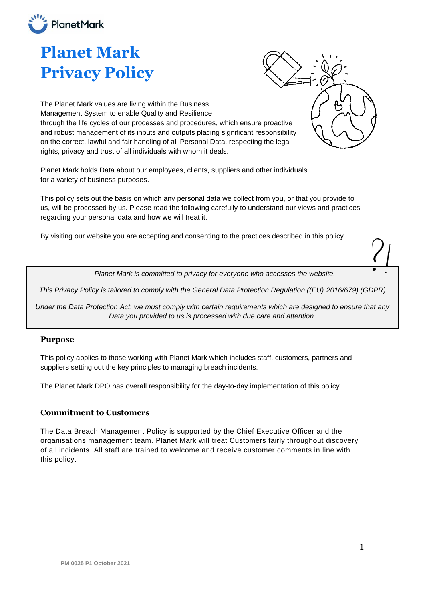

# **Planet Mark Privacy Policy**

The Planet Mark values are living within the Business Management System to enable Quality and Resilience through the life cycles of our processes and procedures, which ensure proactive and robust management of its inputs and outputs placing significant responsibility on the correct, lawful and fair handling of all Personal Data, respecting the legal rights, privacy and trust of all individuals with whom it deals.

Planet Mark holds Data about our employees, clients, suppliers and other individuals for a variety of business purposes.

This policy sets out the basis on which any personal data we collect from you, or that you provide to us, will be processed by us. Please read the following carefully to understand our views and practices regarding your personal data and how we will treat it.

By visiting our website you are accepting and consenting to the practices described in this policy.

*Planet Mark is committed to privacy for everyone who accesses the website.*

*This Privacy Policy is tailored to comply with the General Data Protection Regulation ((EU) 2016/679) (GDPR)*

*Under the Data Protection Act, we must comply with certain requirements which are designed to ensure that any Data you provided to us is processed with due care and attention.*

#### **Purpose**

This policy applies to those working with Planet Mark which includes staff, customers, partners and suppliers setting out the key principles to managing breach incidents.

The Planet Mark DPO has overall responsibility for the day-to-day implementation of this policy.

#### **Commitment to Customers**

The Data Breach Management Policy is supported by the Chief Executive Officer and the organisations management team. Planet Mark will treat Customers fairly throughout discovery of all incidents. All staff are trained to welcome and receive customer comments in line with this policy.

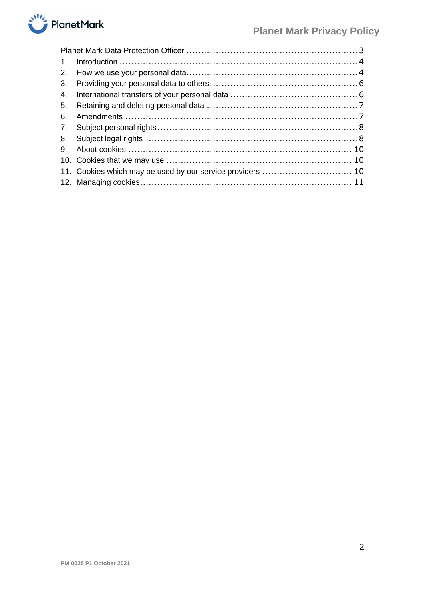

| $\mathbf{1}$ . |                                                            |  |
|----------------|------------------------------------------------------------|--|
|                |                                                            |  |
|                |                                                            |  |
|                |                                                            |  |
|                |                                                            |  |
| 6.             |                                                            |  |
|                |                                                            |  |
|                |                                                            |  |
|                |                                                            |  |
|                |                                                            |  |
|                | 11. Cookies which may be used by our service providers  10 |  |
|                |                                                            |  |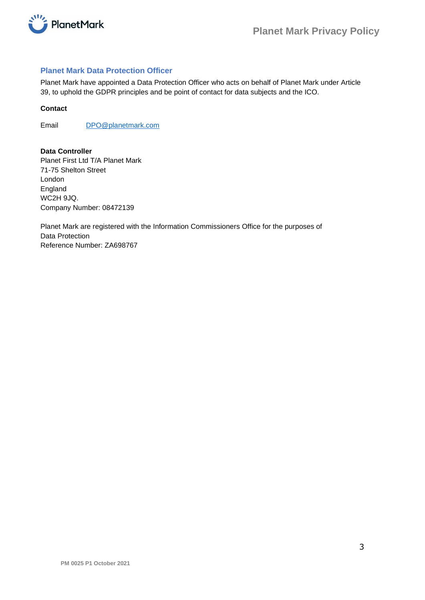

# <span id="page-2-0"></span>**Planet Mark Data Protection Officer**

Planet Mark have appointed a Data Protection Officer who acts on behalf of Planet Mark under Article 39, to uphold the GDPR principles and be point of contact for data subjects and the ICO.

## **Contact**

Email [DPO@planetmark.com](mailto:DPO@planetmark.com)

**Data Controller** Planet First Ltd T/A Planet Mark 71-75 Shelton Street London England WC2H 9JQ. Company Number: 08472139

Planet Mark are registered with the Information Commissioners Office for the purposes of Data Protection Reference Number: ZA698767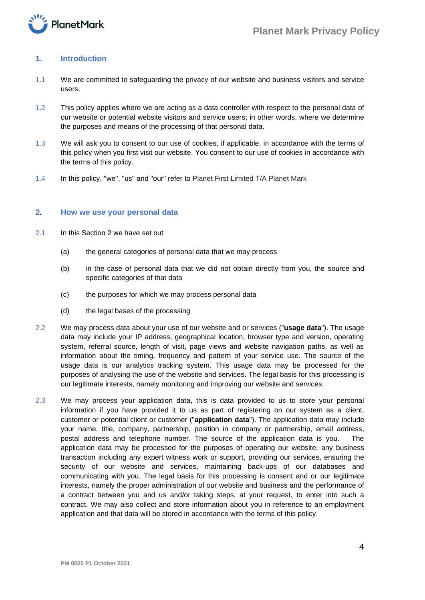

# <span id="page-3-0"></span>**1. Introduction**

- 1.1 We are committed to safeguarding the privacy of our website and business visitors and service users.
- 1.2 This policy applies where we are acting as a data controller with respect to the personal data of our website or potential website visitors and service users; in other words, where we determine the purposes and means of the processing of that personal data.
- 1.3 We will ask you to consent to our use of cookies, if applicable, in accordance with the terms of this policy when you first visit our website. You consent to our use of cookies in accordance with the terms of this policy.
- 1.4 In this policy, "we", "us" and "our" refer to Planet First Limited T/A Planet Mark

#### <span id="page-3-1"></span>**2. How we use your personal data**

- 2.1 In this Section 2 we have set out
	- (a) the general categories of personal data that we may process
	- (b) in the case of personal data that we did not obtain directly from you, the source and specific categories of that data
	- (c) the purposes for which we may process personal data
	- (d) the legal bases of the processing
- 2.2 We may process data about your use of our website and or services ("**usage data**"). The usage data may include your IP address, geographical location, browser type and version, operating system, referral source, length of visit, page views and website navigation paths, as well as information about the timing, frequency and pattern of your service use. The source of the usage data is our analytics tracking system. This usage data may be processed for the purposes of analysing the use of the website and services. The legal basis for this processing is our legitimate interests, namely monitoring and improving our website and services.
- 2.3 We may process your application data, this is data provided to us to store your personal information if you have provided it to us as part of registering on our system as a client, customer or potential client or customer ("**application data**"). The application data may include your name, title, company, partnership, position in company or partnership, email address, postal address and telephone number. The source of the application data is you. The application data may be processed for the purposes of operating our website, any business transaction including any expert witness work or support, providing our services, ensuring the security of our website and services, maintaining back-ups of our databases and communicating with you. The legal basis for this processing is consent and or our legitimate interests, namely the proper administration of our website and business and the performance of a contract between you and us and/or taking steps, at your request, to enter into such a contract. We may also collect and store information about you in reference to an employment application and that data will be stored in accordance with the terms of this policy.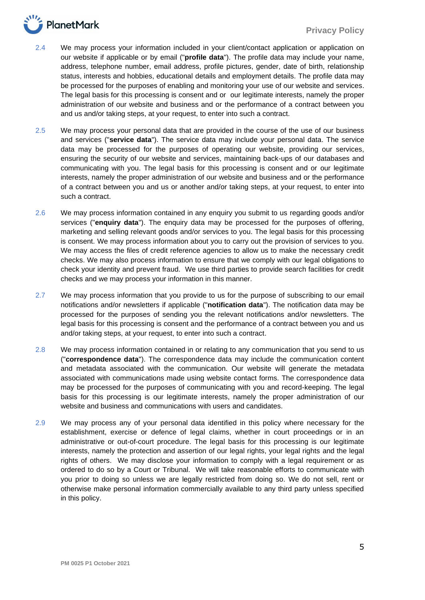

- 2.4 We may process your information included in your client/contact application or application on our website if applicable or by email ("**profile data**"). The profile data may include your name, address, telephone number, email address, profile pictures, gender, date of birth, relationship status, interests and hobbies, educational details and employment details. The profile data may be processed for the purposes of enabling and monitoring your use of our website and services. The legal basis for this processing is consent and or our legitimate interests, namely the proper administration of our website and business and or the performance of a contract between you and us and/or taking steps, at your request, to enter into such a contract.
- 2.5 We may process your personal data that are provided in the course of the use of our business and services ("**service data**"). The service data may include your personal data. The service data may be processed for the purposes of operating our website, providing our services, ensuring the security of our website and services, maintaining back-ups of our databases and communicating with you. The legal basis for this processing is consent and or our legitimate interests, namely the proper administration of our website and business and or the performance of a contract between you and us or another and/or taking steps, at your request, to enter into such a contract.
- 2.6 We may process information contained in any enquiry you submit to us regarding goods and/or services ("**enquiry data**"). The enquiry data may be processed for the purposes of offering, marketing and selling relevant goods and/or services to you. The legal basis for this processing is consent. We may process information about you to carry out the provision of services to you. We may access the files of credit reference agencies to allow us to make the necessary credit checks. We may also process information to ensure that we comply with our legal obligations to check your identity and prevent fraud. We use third parties to provide search facilities for credit checks and we may process your information in this manner.
- 2.7 We may process information that you provide to us for the purpose of subscribing to our email notifications and/or newsletters if applicable ("**notification data**"). The notification data may be processed for the purposes of sending you the relevant notifications and/or newsletters. The legal basis for this processing is consent and the performance of a contract between you and us and/or taking steps, at your request, to enter into such a contract.
- 2.8 We may process information contained in or relating to any communication that you send to us ("**correspondence data**"). The correspondence data may include the communication content and metadata associated with the communication. Our website will generate the metadata associated with communications made using website contact forms. The correspondence data may be processed for the purposes of communicating with you and record-keeping. The legal basis for this processing is our legitimate interests, namely the proper administration of our website and business and communications with users and candidates.
- 2.9 We may process any of your personal data identified in this policy where necessary for the establishment, exercise or defence of legal claims, whether in court proceedings or in an administrative or out-of-court procedure. The legal basis for this processing is our legitimate interests, namely the protection and assertion of our legal rights, your legal rights and the legal rights of others. We may disclose your information to comply with a legal requirement or as ordered to do so by a Court or Tribunal. We will take reasonable efforts to communicate with you prior to doing so unless we are legally restricted from doing so. We do not sell, rent or otherwise make personal information commercially available to any third party unless specified in this policy.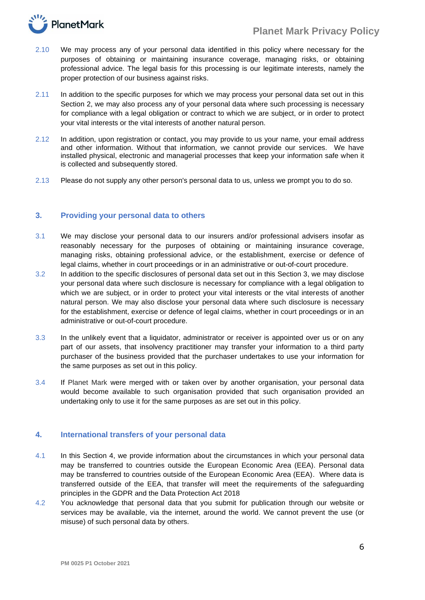

- 2.10 We may process any of your personal data identified in this policy where necessary for the purposes of obtaining or maintaining insurance coverage, managing risks, or obtaining professional advice. The legal basis for this processing is our legitimate interests, namely the proper protection of our business against risks.
- 2.11 In addition to the specific purposes for which we may process your personal data set out in this Section 2, we may also process any of your personal data where such processing is necessary for compliance with a legal obligation or contract to which we are subject, or in order to protect your vital interests or the vital interests of another natural person.
- 2.12 In addition, upon registration or contact, you may provide to us your name, your email address and other information. Without that information, we cannot provide our services. We have installed physical, electronic and managerial processes that keep your information safe when it is collected and subsequently stored.
- 2.13 Please do not supply any other person's personal data to us, unless we prompt you to do so.

## <span id="page-5-0"></span>**3. Providing your personal data to others**

- 3.1 We may disclose your personal data to our insurers and/or professional advisers insofar as reasonably necessary for the purposes of obtaining or maintaining insurance coverage, managing risks, obtaining professional advice, or the establishment, exercise or defence of legal claims, whether in court proceedings or in an administrative or out-of-court procedure.
- 3.2 In addition to the specific disclosures of personal data set out in this Section 3, we may disclose your personal data where such disclosure is necessary for compliance with a legal obligation to which we are subject, or in order to protect your vital interests or the vital interests of another natural person. We may also disclose your personal data where such disclosure is necessary for the establishment, exercise or defence of legal claims, whether in court proceedings or in an administrative or out-of-court procedure.
- 3.3 In the unlikely event that a liquidator, administrator or receiver is appointed over us or on any part of our assets, that insolvency practitioner may transfer your information to a third party purchaser of the business provided that the purchaser undertakes to use your information for the same purposes as set out in this policy.
- 3.4 If Planet Mark were merged with or taken over by another organisation, your personal data would become available to such organisation provided that such organisation provided an undertaking only to use it for the same purposes as are set out in this policy.

# <span id="page-5-1"></span>**4. International transfers of your personal data**

- 4.1 In this Section 4, we provide information about the circumstances in which your personal data may be transferred to countries outside the European Economic Area (EEA). Personal data may be transferred to countries outside of the European Economic Area (EEA). Where data is transferred outside of the EEA, that transfer will meet the requirements of the safeguarding principles in the GDPR and the Data Protection Act 2018
- 4.2 You acknowledge that personal data that you submit for publication through our website or services may be available, via the internet, around the world. We cannot prevent the use (or misuse) of such personal data by others.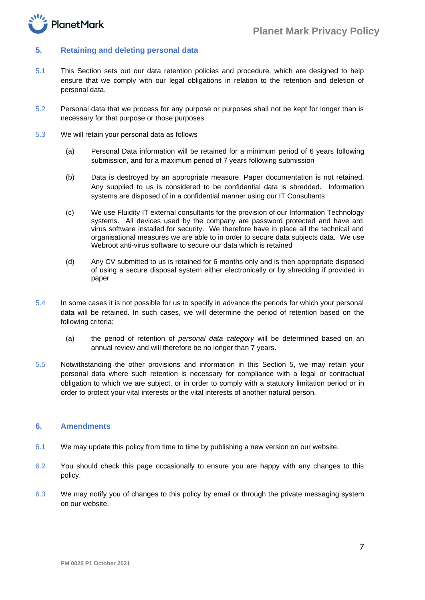

## <span id="page-6-0"></span>**5. Retaining and deleting personal data**

- 5.1 This Section sets out our data retention policies and procedure, which are designed to help ensure that we comply with our legal obligations in relation to the retention and deletion of personal data.
- 5.2 Personal data that we process for any purpose or purposes shall not be kept for longer than is necessary for that purpose or those purposes.
- 5.3 We will retain your personal data as follows
	- (a) Personal Data information will be retained for a minimum period of 6 years following submission, and for a maximum period of 7 years following submission
	- (b) Data is destroyed by an appropriate measure. Paper documentation is not retained. Any supplied to us is considered to be confidential data is shredded. Information systems are disposed of in a confidential manner using our IT Consultants
	- (c) We use Fluidity IT external consultants for the provision of our Information Technology systems. All devices used by the company are password protected and have anti virus software installed for security. We therefore have in place all the technical and organisational measures we are able to in order to secure data subjects data. We use Webroot anti-virus software to secure our data which is retained
	- (d) Any CV submitted to us is retained for 6 months only and is then appropriate disposed of using a secure disposal system either electronically or by shredding if provided in paper
- 5.4 In some cases it is not possible for us to specify in advance the periods for which your personal data will be retained. In such cases, we will determine the period of retention based on the following criteria:
	- (a) the period of retention of *personal data category* will be determined based on an annual review and will therefore be no longer than 7 years.
- 5.5 Notwithstanding the other provisions and information in this Section 5, we may retain your personal data where such retention is necessary for compliance with a legal or contractual obligation to which we are subject, or in order to comply with a statutory limitation period or in order to protect your vital interests or the vital interests of another natural person.

#### <span id="page-6-1"></span>**6. Amendments**

- 6.1 We may update this policy from time to time by publishing a new version on our website.
- 6.2 You should check this page occasionally to ensure you are happy with any changes to this policy.
- 6.3 We may notify you of changes to this policy by email or through the private messaging system on our website.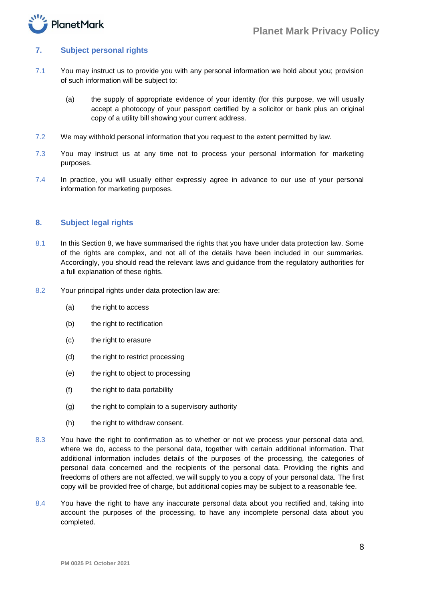

## <span id="page-7-0"></span>**7. Subject personal rights**

- 7.1 You may instruct us to provide you with any personal information we hold about you; provision of such information will be subject to:
	- (a) the supply of appropriate evidence of your identity (for this purpose, we will usually accept a photocopy of your passport certified by a solicitor or bank plus an original copy of a utility bill showing your current address.
- 7.2 We may withhold personal information that you request to the extent permitted by law.
- 7.3 You may instruct us at any time not to process your personal information for marketing purposes.
- 7.4 In practice, you will usually either expressly agree in advance to our use of your personal information for marketing purposes.

## <span id="page-7-1"></span>**8. Subject legal rights**

- 8.1 In this Section 8, we have summarised the rights that you have under data protection law. Some of the rights are complex, and not all of the details have been included in our summaries. Accordingly, you should read the relevant laws and guidance from the regulatory authorities for a full explanation of these rights.
- 8.2 Your principal rights under data protection law are:
	- (a) the right to access
	- (b) the right to rectification
	- (c) the right to erasure
	- (d) the right to restrict processing
	- (e) the right to object to processing
	- (f) the right to data portability
	- (g) the right to complain to a supervisory authority
	- (h) the right to withdraw consent.
- 8.3 You have the right to confirmation as to whether or not we process your personal data and, where we do, access to the personal data, together with certain additional information. That additional information includes details of the purposes of the processing, the categories of personal data concerned and the recipients of the personal data. Providing the rights and freedoms of others are not affected, we will supply to you a copy of your personal data. The first copy will be provided free of charge, but additional copies may be subject to a reasonable fee.
- 8.4 You have the right to have any inaccurate personal data about you rectified and, taking into account the purposes of the processing, to have any incomplete personal data about you completed.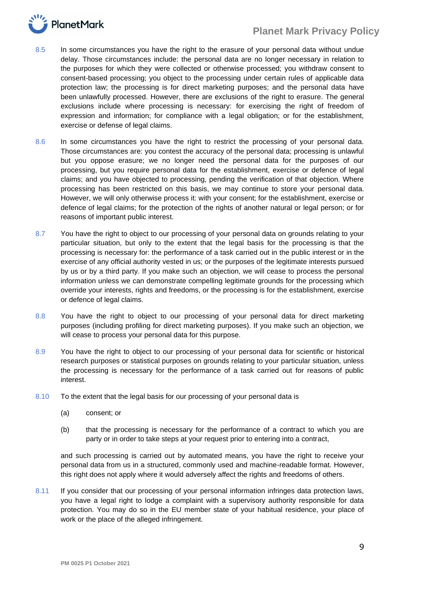

- 8.5 In some circumstances you have the right to the erasure of your personal data without undue delay. Those circumstances include: the personal data are no longer necessary in relation to the purposes for which they were collected or otherwise processed; you withdraw consent to consent-based processing; you object to the processing under certain rules of applicable data protection law; the processing is for direct marketing purposes; and the personal data have been unlawfully processed. However, there are exclusions of the right to erasure. The general exclusions include where processing is necessary: for exercising the right of freedom of expression and information; for compliance with a legal obligation; or for the establishment, exercise or defense of legal claims.
- 8.6 In some circumstances you have the right to restrict the processing of your personal data. Those circumstances are: you contest the accuracy of the personal data; processing is unlawful but you oppose erasure; we no longer need the personal data for the purposes of our processing, but you require personal data for the establishment, exercise or defence of legal claims; and you have objected to processing, pending the verification of that objection. Where processing has been restricted on this basis, we may continue to store your personal data. However, we will only otherwise process it: with your consent; for the establishment, exercise or defence of legal claims; for the protection of the rights of another natural or legal person; or for reasons of important public interest.
- 8.7 You have the right to object to our processing of your personal data on grounds relating to your particular situation, but only to the extent that the legal basis for the processing is that the processing is necessary for: the performance of a task carried out in the public interest or in the exercise of any official authority vested in us; or the purposes of the legitimate interests pursued by us or by a third party. If you make such an objection, we will cease to process the personal information unless we can demonstrate compelling legitimate grounds for the processing which override your interests, rights and freedoms, or the processing is for the establishment, exercise or defence of legal claims.
- 8.8 You have the right to object to our processing of your personal data for direct marketing purposes (including profiling for direct marketing purposes). If you make such an objection, we will cease to process your personal data for this purpose.
- 8.9 You have the right to object to our processing of your personal data for scientific or historical research purposes or statistical purposes on grounds relating to your particular situation, unless the processing is necessary for the performance of a task carried out for reasons of public interest.
- 8.10 To the extent that the legal basis for our processing of your personal data is
	- (a) consent; or
	- (b) that the processing is necessary for the performance of a contract to which you are party or in order to take steps at your request prior to entering into a contract,

and such processing is carried out by automated means, you have the right to receive your personal data from us in a structured, commonly used and machine-readable format. However, this right does not apply where it would adversely affect the rights and freedoms of others.

8.11 If you consider that our processing of your personal information infringes data protection laws, you have a legal right to lodge a complaint with a supervisory authority responsible for data protection. You may do so in the EU member state of your habitual residence, your place of work or the place of the alleged infringement.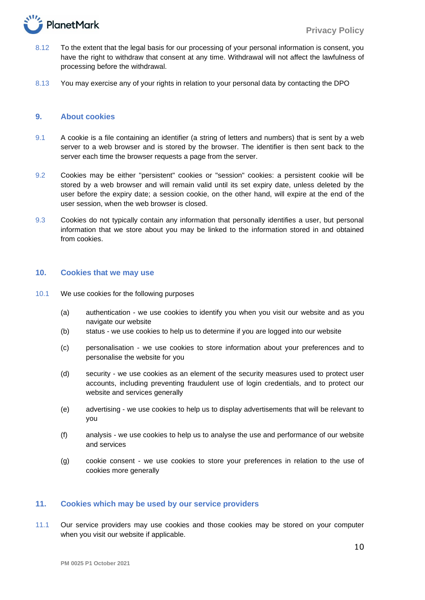

- 8.12 To the extent that the legal basis for our processing of your personal information is consent, you have the right to withdraw that consent at any time. Withdrawal will not affect the lawfulness of processing before the withdrawal.
- 8.13 You may exercise any of your rights in relation to your personal data by contacting the DPO

## <span id="page-9-0"></span>**9. About cookies**

- 9.1 A cookie is a file containing an identifier (a string of letters and numbers) that is sent by a web server to a web browser and is stored by the browser. The identifier is then sent back to the server each time the browser requests a page from the server.
- 9.2 Cookies may be either "persistent" cookies or "session" cookies: a persistent cookie will be stored by a web browser and will remain valid until its set expiry date, unless deleted by the user before the expiry date; a session cookie, on the other hand, will expire at the end of the user session, when the web browser is closed.
- 9.3 Cookies do not typically contain any information that personally identifies a user, but personal information that we store about you may be linked to the information stored in and obtained from cookies.

#### <span id="page-9-1"></span>**10. Cookies that we may use**

- 10.1 We use cookies for the following purposes
	- (a) authentication we use cookies to identify you when you visit our website and as you navigate our website
	- (b) status we use cookies to help us to determine if you are logged into our website
	- (c) personalisation we use cookies to store information about your preferences and to personalise the website for you
	- (d) security we use cookies as an element of the security measures used to protect user accounts, including preventing fraudulent use of login credentials, and to protect our website and services generally
	- (e) advertising we use cookies to help us to display advertisements that will be relevant to you
	- (f) analysis we use cookies to help us to analyse the use and performance of our website and services
	- (g) cookie consent we use cookies to store your preferences in relation to the use of cookies more generally

## <span id="page-9-2"></span>**11. Cookies which may be used by our service providers**

11.1 Our service providers may use cookies and those cookies may be stored on your computer when you visit our website if applicable.